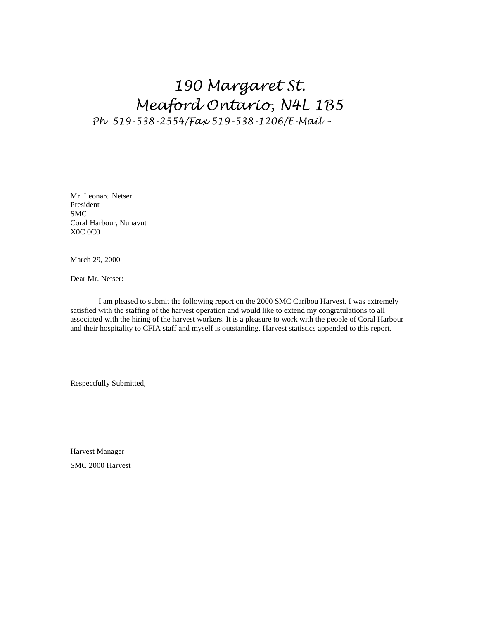# *190 Margaret St. Meaford Ontario, N4L 1B5* Ph 519-538-2554/Fax 519-538-1206/E-Mail -

Mr. Leonard Netser President SMC Coral Harbour, Nunavut X0C 0C0

March 29, 2000

Dear Mr. Netser:

I am pleased to submit the following report on the 2000 SMC Caribou Harvest. I was extremely satisfied with the staffing of the harvest operation and would like to extend my congratulations to all associated with the hiring of the harvest workers. It is a pleasure to work with the people of Coral Harbour and their hospitality to CFIA staff and myself is outstanding. Harvest statistics appended to this report.

Respectfully Submitted,

Harvest Manager SMC 2000 Harvest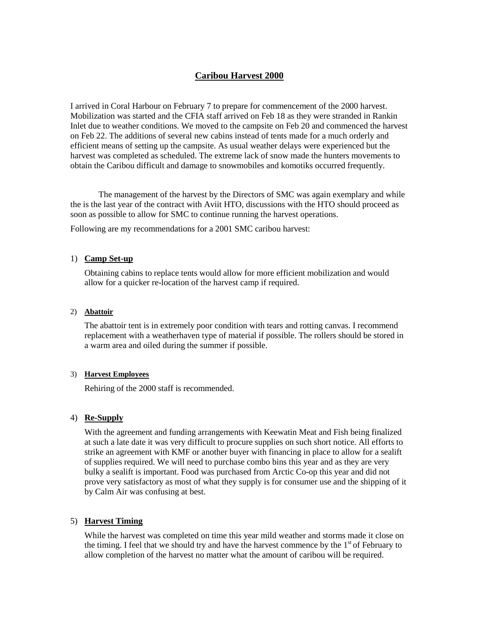# **Caribou Harvest 2000**

I arrived in Coral Harbour on February 7 to prepare for commencement of the 2000 harvest. Mobilization was started and the CFIA staff arrived on Feb 18 as they were stranded in Rankin Inlet due to weather conditions. We moved to the campsite on Feb 20 and commenced the harvest on Feb 22. The additions of several new cabins instead of tents made for a much orderly and efficient means of setting up the campsite. As usual weather delays were experienced but the harvest was completed as scheduled. The extreme lack of snow made the hunters movements to obtain the Caribou difficult and damage to snowmobiles and komotiks occurred frequently.

The management of the harvest by the Directors of SMC was again exemplary and while the is the last year of the contract with Aviit HTO, discussions with the HTO should proceed as soon as possible to allow for SMC to continue running the harvest operations.

Following are my recommendations for a 2001 SMC caribou harvest:

#### 1) **Camp Set-up**

Obtaining cabins to replace tents would allow for more efficient mobilization and would allow for a quicker re-location of the harvest camp if required.

#### 2) **Abattoir**

The abattoir tent is in extremely poor condition with tears and rotting canvas. I recommend replacement with a weatherhaven type of material if possible. The rollers should be stored in a warm area and oiled during the summer if possible.

#### 3) **Harvest Employees**

Rehiring of the 2000 staff is recommended.

# 4) **Re-Supply**

With the agreement and funding arrangements with Keewatin Meat and Fish being finalized at such a late date it was very difficult to procure supplies on such short notice. All efforts to strike an agreement with KMF or another buyer with financing in place to allow for a sealift of supplies required. We will need to purchase combo bins this year and as they are very bulky a sealift is important. Food was purchased from Arctic Co-op this year and did not prove very satisfactory as most of what they supply is for consumer use and the shipping of it by Calm Air was confusing at best.

# 5) **Harvest Timing**

While the harvest was completed on time this year mild weather and storms made it close on the timing. I feel that we should try and have the harvest commence by the  $1<sup>st</sup>$  of February to allow completion of the harvest no matter what the amount of caribou will be required.